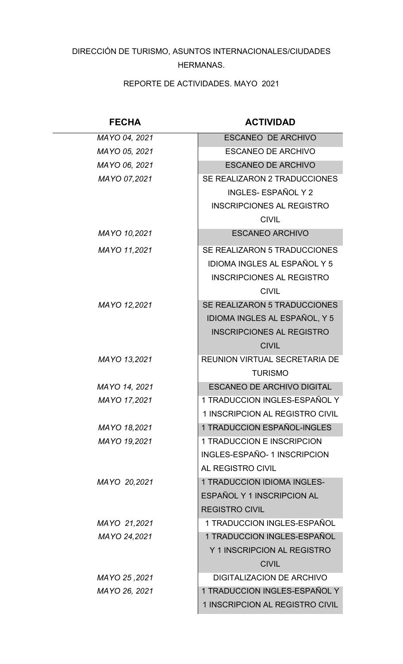## DIRECCIÓN DE TURISMO, ASUNTOS INTERNACIONALES/CIUDADES HERMANAS.

REPORTE DE ACTIVIDADES. MAYO 2021

| <b>FECHA</b>  | <b>ACTIVIDAD</b>                     |
|---------------|--------------------------------------|
| MAYO 04, 2021 | <b>ESCANEO DE ARCHIVO</b>            |
| MAYO 05, 2021 | <b>ESCANEO DE ARCHIVO</b>            |
| MAYO 06, 2021 | <b>ESCANEO DE ARCHIVO</b>            |
| MAYO 07,2021  | SE REALIZARON 2 TRADUCCIONES         |
|               | <b>INGLES- ESPAÑOL Y 2</b>           |
|               | <b>INSCRIPCIONES AL REGISTRO</b>     |
|               | <b>CIVIL</b>                         |
| MAYO 10,2021  | <b>ESCANEO ARCHIVO</b>               |
| MAYO 11,2021  | SE REALIZARON 5 TRADUCCIONES         |
|               | <b>IDIOMA INGLES AL ESPAÑOL Y 5</b>  |
|               | <b>INSCRIPCIONES AL REGISTRO</b>     |
|               | <b>CIVIL</b>                         |
| MAYO 12,2021  | SE REALIZARON 5 TRADUCCIONES         |
|               | <b>IDIOMA INGLES AL ESPAÑOL, Y 5</b> |
|               | <b>INSCRIPCIONES AL REGISTRO</b>     |
|               | <b>CIVIL</b>                         |
| MAYO 13,2021  | <b>REUNION VIRTUAL SECRETARIA DE</b> |
|               | <b>TURISMO</b>                       |
| MAYO 14, 2021 | <b>ESCANEO DE ARCHIVO DIGITAL</b>    |
| MAYO 17,2021  | 1 TRADUCCION INGLES-ESPAÑOL Y        |
|               | 1 INSCRIPCION AL REGISTRO CIVIL      |
| MAYO 18,2021  | 1 TRADUCCION ESPAÑOL-INGLES          |
| MAYO 19,2021  | 1 TRADUCCION E INSCRIPCION           |
|               | <b>INGLES-ESPAÑO- 1 INSCRIPCION</b>  |
|               | AL REGISTRO CIVIL                    |
| MAYO 20,2021  | <b>1 TRADUCCION IDIOMA INGLES-</b>   |
|               | ESPAÑOL Y 1 INSCRIPCION AL           |
|               | <b>REGISTRO CIVIL</b>                |
| MAYO 21,2021  | 1 TRADUCCION INGLES-ESPAÑOL          |
| MAYO 24,2021  | 1 TRADUCCION INGLES-ESPAÑOL          |
|               | Y 1 INSCRIPCION AL REGISTRO          |
|               | <b>CIVIL</b>                         |
| 2021, MAYO 25 | <b>DIGITALIZACION DE ARCHIVO</b>     |
| MAYO 26, 2021 | 1 TRADUCCION INGLES-ESPAÑOL Y        |
|               | 1 INSCRIPCION AL REGISTRO CIVIL      |